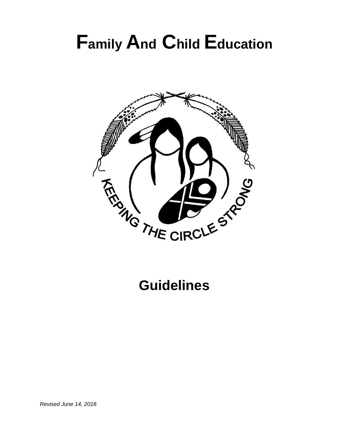# **Family And Child Education**



**Guidelines**

*Revised June 14, 2018*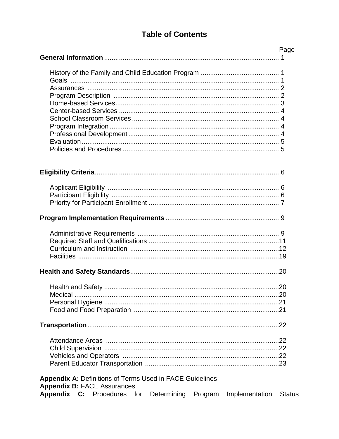# **Table of Contents**

|                                                                  | Page                            |
|------------------------------------------------------------------|---------------------------------|
|                                                                  |                                 |
|                                                                  |                                 |
|                                                                  |                                 |
|                                                                  |                                 |
|                                                                  |                                 |
|                                                                  |                                 |
|                                                                  |                                 |
|                                                                  |                                 |
|                                                                  |                                 |
|                                                                  |                                 |
|                                                                  |                                 |
|                                                                  |                                 |
|                                                                  |                                 |
|                                                                  |                                 |
|                                                                  |                                 |
|                                                                  |                                 |
|                                                                  |                                 |
|                                                                  |                                 |
|                                                                  |                                 |
|                                                                  |                                 |
|                                                                  |                                 |
|                                                                  |                                 |
|                                                                  |                                 |
|                                                                  |                                 |
|                                                                  |                                 |
|                                                                  |                                 |
|                                                                  |                                 |
|                                                                  |                                 |
|                                                                  |                                 |
|                                                                  |                                 |
|                                                                  |                                 |
|                                                                  |                                 |
|                                                                  |                                 |
|                                                                  |                                 |
|                                                                  |                                 |
|                                                                  |                                 |
|                                                                  |                                 |
|                                                                  |                                 |
|                                                                  |                                 |
| <b>Appendix A: Definitions of Terms Used in FACE Guidelines</b>  |                                 |
| <b>Appendix B: FACE Assurances</b><br>Appendix C: Procedures for |                                 |
| Determining<br>Program                                           | Implementation<br><b>Status</b> |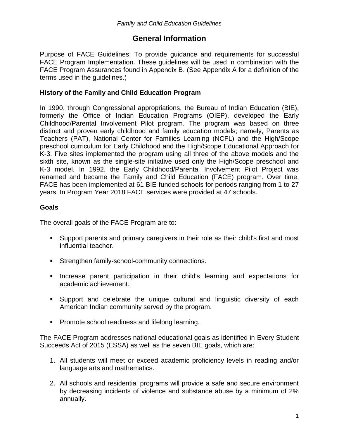# **General Information**

Purpose of FACE Guidelines: To provide guidance and requirements for successful FACE Program Implementation. These guidelines will be used in combination with the FACE Program Assurances found in Appendix B. (See Appendix A for a definition of the terms used in the guidelines.)

## **History of the Family and Child Education Program**

In 1990, through Congressional appropriations, the Bureau of Indian Education (BIE), formerly the Office of Indian Education Programs (OIEP), developed the Early Childhood/Parental Involvement Pilot program. The program was based on three distinct and proven early childhood and family education models; namely, Parents as Teachers (PAT), National Center for Families Learning (NCFL) and the High/Scope preschool curriculum for Early Childhood and the High/Scope Educational Approach for K-3. Five sites implemented the program using all three of the above models and the sixth site, known as the single-site initiative used only the High/Scope preschool and K-3 model. In 1992, the Early Childhood/Parental Involvement Pilot Project was renamed and became the Family and Child Education (FACE) program. Over time, FACE has been implemented at 61 BIE-funded schools for periods ranging from 1 to 27 years. In Program Year 2018 FACE services were provided at 47 schools.

## **Goals**

The overall goals of the FACE Program are to:

- Support parents and primary caregivers in their role as their child's first and most influential teacher.
- **Strengthen family-school-community connections.**
- **Increase parent participation in their child's learning and expectations for** academic achievement.
- Support and celebrate the unique cultural and linguistic diversity of each American Indian community served by the program.
- **Promote school readiness and lifelong learning.**

The FACE Program addresses national educational goals as identified in Every Student Succeeds Act of 2015 (ESSA) as well as the seven BIE goals, which are:

- 1. All students will meet or exceed academic proficiency levels in reading and/or language arts and mathematics.
- 2. All schools and residential programs will provide a safe and secure environment by decreasing incidents of violence and substance abuse by a minimum of 2% annually.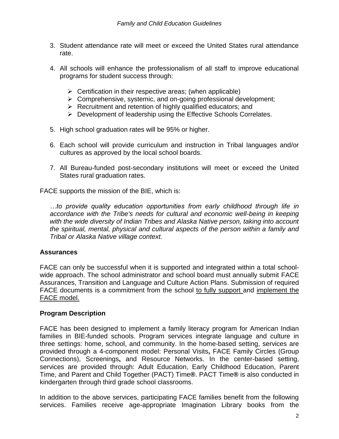- 3. Student attendance rate will meet or exceed the United States rural attendance rate.
- 4. All schools will enhance the professionalism of all staff to improve educational programs for student success through:
	- $\triangleright$  Certification in their respective areas; (when applicable)
	- $\triangleright$  Comprehensive, systemic, and on-going professional development;
	- $\triangleright$  Recruitment and retention of highly qualified educators; and
	- **Development of leadership using the Effective Schools Correlates.**
- 5. High school graduation rates will be 95% or higher.
- 6. Each school will provide curriculum and instruction in Tribal languages and/or cultures as approved by the local school boards.
- 7. All Bureau-funded post-secondary institutions will meet or exceed the United States rural graduation rates.

FACE supports the mission of the BIE, which is:

*…to provide quality education opportunities from early childhood through life in*  accordance with the Tribe's needs for cultural and economic well-being in keeping *with the wide diversity of Indian Tribes and Alaska Native person, taking into account the spiritual, mental, physical and cultural aspects of the person within a family and Tribal or Alaska Native village context.*

#### **Assurances**

FACE can only be successful when it is supported and integrated within a total schoolwide approach. The school administrator and school board must annually submit FACE Assurances, Transition and Language and Culture Action Plans. Submission of required FACE documents is a commitment from the school to fully support and implement the FACE model.

#### **Program Description**

FACE has been designed to implement a family literacy program for American Indian families in BIE-funded schools. Program services integrate language and culture in three settings: home, school, and community. In the home-based setting, services are provided through a 4-component model: Personal Visits**,** FACE Family Circles (Group Connections), Screenings**,** and Resource Networks. In the center-based setting, services are provided through: Adult Education, Early Childhood Education, Parent Time, and Parent and Child Together (PACT) Time**®**. PACT Time**®** is also conducted in kindergarten through third grade school classrooms.

In addition to the above services, participating FACE families benefit from the following services. Families receive age-appropriate Imagination Library books from the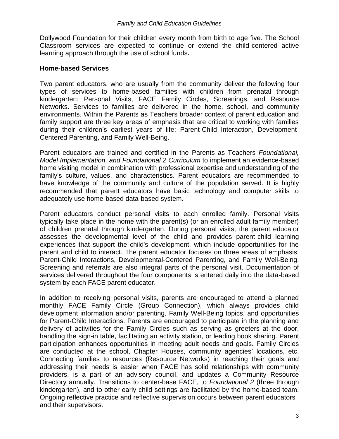Dollywood Foundation for their children every month from birth to age five. The School Classroom services are expected to continue or extend the child-centered active learning approach through the use of school funds**.**

#### **Home-based Services**

Two parent educators, who are usually from the community deliver the following four types of services to home-based families with children from prenatal through kindergarten: Personal Visits, FACE Family Circles, Screenings, and Resource Networks. Services to families are delivered in the home, school, and community environments. Within the Parents as Teachers broader context of parent education and family support are three key areas of emphasis that are critical to working with families during their children's earliest years of life: Parent-Child Interaction, Development-Centered Parenting, and Family Well-Being.

Parent educators are trained and certified in the Parents as Teachers *Foundational, Model Implementation, and Foundational 2 Curriculum* to implement an evidence-based home visiting model in combination with professional expertise and understanding of the family's culture, values, and characteristics. Parent educators are recommended to have knowledge of the community and culture of the population served. It is highly recommended that parent educators have basic technology and computer skills to adequately use home-based data-based system.

Parent educators conduct personal visits to each enrolled family. Personal visits typically take place in the home with the parent(s) (or an enrolled adult family member) of children prenatal through kindergarten. During personal visits, the parent educator assesses the developmental level of the child and provides parent-child learning experiences that support the child's development, which include opportunities for the parent and child to interact. The parent educator focuses on three areas of emphasis: Parent-Child Interactions, Developmental-Centered Parenting, and Family Well-Being. Screening and referrals are also integral parts of the personal visit. Documentation of services delivered throughout the four components is entered daily into the data-based system by each FACE parent educator.

In addition to receiving personal visits, parents are encouraged to attend a planned monthly FACE Family Circle (Group Connection), which always provides child development information and/or parenting, Family Well-Being topics, and opportunities for Parent-Child Interactions. Parents are encouraged to participate in the planning and delivery of activities for the Family Circles such as serving as greeters at the door, handling the sign-in table, facilitating an activity station, or leading book sharing. Parent participation enhances opportunities in meeting adult needs and goals. Family Circles are conducted at the school, Chapter Houses, community agencies' locations, etc. Connecting families to resources (Resource Networks) in reaching their goals and addressing their needs is easier when FACE has solid relationships with community providers, is a part of an advisory council, and updates a Community Resource Directory annually. Transitions to center-base FACE, to *Foundational 2* (three through kindergarten), and to other early child settings are facilitated by the home-based team. Ongoing reflective practice and reflective supervision occurs between parent educators and their supervisors.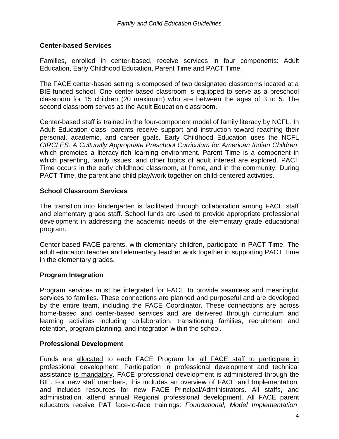## **Center-based Services**

Families, enrolled in center-based, receive services in four components: Adult Education, Early Childhood Education, Parent Time and PACT Time.

The FACE center-based setting is composed of two designated classrooms located at a BIE-funded school. One center-based classroom is equipped to serve as a preschool classroom for 15 children (20 maximum) who are between the ages of 3 to 5. The second classroom serves as the Adult Education classroom.

Center-based staff is trained in the four-component model of family literacy by NCFL. In Adult Education class, parents receive support and instruction toward reaching their personal, academic, and career goals. Early Childhood Education uses the NCFL *CIRCLES: A Culturally Appropriate Preschool Curriculum for American Indian Children*, which promotes a literacy-rich learning environment. Parent Time is a component in which parenting, family issues, and other topics of adult interest are explored. PACT Time occurs in the early childhood classroom, at home, and in the community. During PACT Time, the parent and child play/work together on child-centered activities.

#### **School Classroom Services**

The transition into kindergarten is facilitated through collaboration among FACE staff and elementary grade staff. School funds are used to provide appropriate professional development in addressing the academic needs of the elementary grade educational program.

Center-based FACE parents, with elementary children, participate in PACT Time. The adult education teacher and elementary teacher work together in supporting PACT Time in the elementary grades.

#### **Program Integration**

Program services must be integrated for FACE to provide seamless and meaningful services to families. These connections are planned and purposeful and are developed by the entire team, including the FACE Coordinator. These connections are across home-based and center-based services and are delivered through curriculum and learning activities including collaboration, transitioning families, recruitment and retention, program planning, and integration within the school.

#### **Professional Development**

Funds are allocated to each FACE Program for all FACE staff to participate in professional development. Participation in professional development and technical assistance is mandatory. FACE professional development is administered through the BIE. For new staff members, this includes an overview of FACE and Implementation, and includes resources for new FACE Principal/Administrators. All staffs, and administration, attend annual Regional professional development. All FACE parent educators receive PAT face-to-face trainings: *Foundational, Model Implementation*,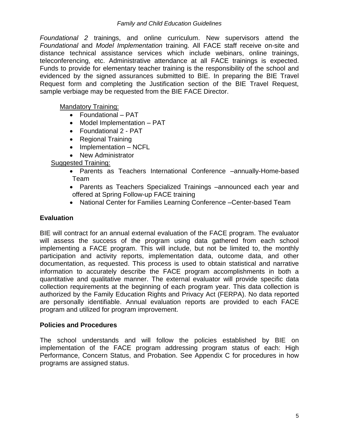*Foundational 2* trainings, and online curriculum. New supervisors attend the *Foundational* and *Model Implementation* training. All FACE staff receive on-site and distance technical assistance services which include webinars, online trainings, teleconferencing, etc. Administrative attendance at all FACE trainings is expected. Funds to provide for elementary teacher training is the responsibility of the school and evidenced by the signed assurances submitted to BIE. In preparing the BIE Travel Request form and completing the Justification section of the BIE Travel Request, sample verbiage may be requested from the BIE FACE Director.

Mandatory Training:

- Foundational PAT
- Model Implementation PAT
- Foundational 2 PAT
- Regional Training
- Implementation NCFL
- New Administrator

#### Suggested Training:

- Parents as Teachers International Conference –annually-Home-based Team
- Parents as Teachers Specialized Trainings –announced each year and offered at Spring Follow-up FACE training
- National Center for Families Learning Conference –Center-based Team

## **Evaluation**

BIE will contract for an annual external evaluation of the FACE program. The evaluator will assess the success of the program using data gathered from each school implementing a FACE program. This will include, but not be limited to, the monthly participation and activity reports, implementation data, outcome data, and other documentation, as requested. This process is used to obtain statistical and narrative information to accurately describe the FACE program accomplishments in both a quantitative and qualitative manner. The external evaluator will provide specific data collection requirements at the beginning of each program year. This data collection is authorized by the Family Education Rights and Privacy Act (FERPA). No data reported are personally identifiable. Annual evaluation reports are provided to each FACE program and utilized for program improvement.

#### **Policies and Procedures**

The school understands and will follow the policies established by BIE on implementation of the FACE program addressing program status of each: High Performance, Concern Status, and Probation. See Appendix C for procedures in how programs are assigned status.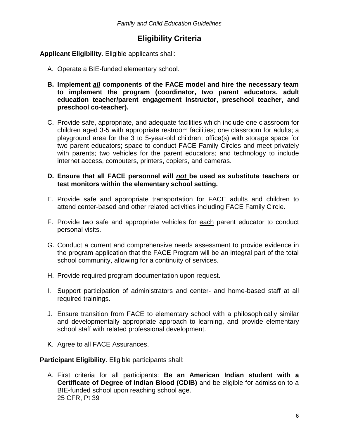# **Eligibility Criteria**

## **Applicant Eligibility**. Eligible applicants shall:

- A. Operate a BIE-funded elementary school.
- **B. Implement** *all* **components of the FACE model and hire the necessary team to implement the program (coordinator, two parent educators, adult education teacher/parent engagement instructor, preschool teacher, and preschool co-teacher).**
- C. Provide safe, appropriate, and adequate facilities which include one classroom for children aged 3-5 with appropriate restroom facilities; one classroom for adults; a playground area for the 3 to 5-year-old children; office(s) with storage space for two parent educators; space to conduct FACE Family Circles and meet privately with parents; two vehicles for the parent educators; and technology to include internet access, computers, printers, copiers, and cameras.

## **D. Ensure that all FACE personnel will** *not* **be used as substitute teachers or test monitors within the elementary school setting.**

- E. Provide safe and appropriate transportation for FACE adults and children to attend center-based and other related activities including FACE Family Circle.
- F. Provide two safe and appropriate vehicles for each parent educator to conduct personal visits.
- G. Conduct a current and comprehensive needs assessment to provide evidence in the program application that the FACE Program will be an integral part of the total school community, allowing for a continuity of services.
- H. Provide required program documentation upon request.
- I. Support participation of administrators and center- and home-based staff at all required trainings.
- J. Ensure transition from FACE to elementary school with a philosophically similar and developmentally appropriate approach to learning, and provide elementary school staff with related professional development.
- K. Agree to all FACE Assurances.

**Participant Eligibility**. Eligible participants shall:

A. First criteria for all participants: **Be an American Indian student with a Certificate of Degree of Indian Blood (CDIB)** and be eligible for admission to a BIE-funded school upon reaching school age. 25 CFR, Pt 39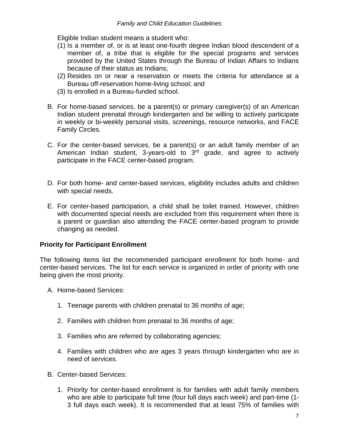Eligible Indian student means a student who:

- (1) Is a member of, or is at least one-fourth degree Indian blood descendent of a member of, a tribe that is eligible for the special programs and services provided by the United States through the Bureau of Indian Affairs to Indians because of their status as Indians;
- (2) Resides on or near a reservation or meets the criteria for attendance at a Bureau off-reservation home-living school; and
- (3) Is enrolled in a Bureau-funded school.
- B. For home-based services, be a parent(s) or primary caregiver(s) of an American Indian student prenatal through kindergarten and be willing to actively participate in weekly or bi-weekly personal visits, screenings, resource networks, and FACE Family Circles.
- C. For the center-based services, be a parent(s) or an adult family member of an American Indian student, 3-years-old to  $3<sup>rd</sup>$  grade, and agree to actively participate in the FACE center-based program.
- D. For both home- and center-based services, eligibility includes adults and children with special needs.
- E. For center-based participation, a child shall be toilet trained. However, children with documented special needs are excluded from this requirement when there is a parent or guardian also attending the FACE center-based program to provide changing as needed.

# **Priority for Participant Enrollment**

The following items list the recommended participant enrollment for both home- and center-based services. The list for each service is organized in order of priority with one being given the most priority.

- A. Home-based Services:
	- 1. Teenage parents with children prenatal to 36 months of age;
	- 2. Families with children from prenatal to 36 months of age;
	- 3. Families who are referred by collaborating agencies;
	- 4. Families with children who are ages 3 years through kindergarten who are in need of services.
- B. Center-based Services:
	- 1. Priority for center-based enrollment is for families with adult family members who are able to participate full time (four full days each week) and part-time (1- 3 full days each week). It is recommended that at least 75% of families with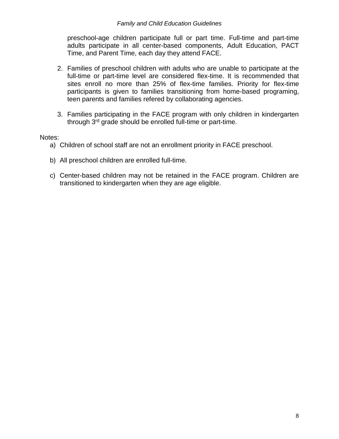preschool-age children participate full or part time. Full-time and part-time adults participate in all center-based components, Adult Education, PACT Time, and Parent Time, each day they attend FACE.

- 2. Families of preschool children with adults who are unable to participate at the full-time or part-time level are considered flex-time. It is recommended that sites enroll no more than 25% of flex-time families. Priority for flex-time participants is given to families transitioning from home-based programing, teen parents and families refered by collaborating agencies.
- 3. Families participating in the FACE program with only children in kindergarten through 3rd grade should be enrolled full-time or part-time.

Notes:

- a) Children of school staff are not an enrollment priority in FACE preschool.
- b) All preschool children are enrolled full-time.
- c) Center-based children may not be retained in the FACE program. Children are transitioned to kindergarten when they are age eligible.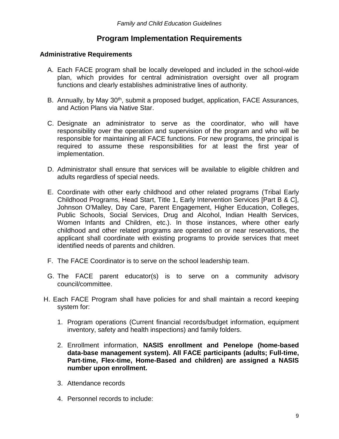# **Program Implementation Requirements**

## **Administrative Requirements**

- A. Each FACE program shall be locally developed and included in the school-wide plan, which provides for central administration oversight over all program functions and clearly establishes administrative lines of authority.
- B. Annually, by May 30<sup>th</sup>, submit a proposed budget, application, FACE Assurances, and Action Plans via Native Star.
- C. Designate an administrator to serve as the coordinator, who will have responsibility over the operation and supervision of the program and who will be responsible for maintaining all FACE functions. For new programs, the principal is required to assume these responsibilities for at least the first year of implementation.
- D. Administrator shall ensure that services will be available to eligible children and adults regardless of special needs.
- E. Coordinate with other early childhood and other related programs (Tribal Early Childhood Programs, Head Start, Title 1, Early Intervention Services [Part B & C], Johnson O'Malley, Day Care, Parent Engagement, Higher Education, Colleges, Public Schools, Social Services, Drug and Alcohol, Indian Health Services, Women Infants and Children, etc.). In those instances, where other early childhood and other related programs are operated on or near reservations, the applicant shall coordinate with existing programs to provide services that meet identified needs of parents and children.
- F. The FACE Coordinator is to serve on the school leadership team.
- G. The FACE parent educator(s) is to serve on a community advisory council/committee.
- H. Each FACE Program shall have policies for and shall maintain a record keeping system for:
	- 1. Program operations (Current financial records/budget information, equipment inventory, safety and health inspections) and family folders.
	- 2. Enrollment information, **NASIS enrollment and Penelope (home-based data-base management system). All FACE participants (adults; Full-time, Part-time, Flex-time, Home-Based and children) are assigned a NASIS number upon enrollment.**
	- 3. Attendance records
	- 4. Personnel records to include: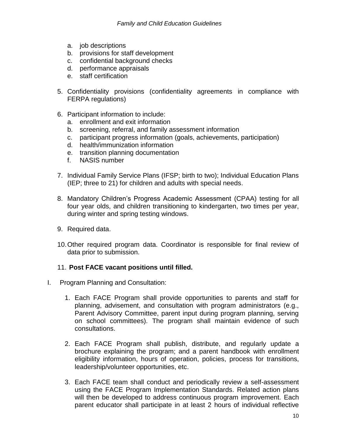- a. job descriptions
- b. provisions for staff development
- c. confidential background checks
- d. performance appraisals
- e. staff certification
- 5. Confidentiality provisions (confidentiality agreements in compliance with FERPA regulations)
- 6. Participant information to include:
	- a. enrollment and exit information
	- b. screening, referral, and family assessment information
	- c. participant progress information (goals, achievements, participation)
	- d. health/immunization information
	- e. transition planning documentation
	- f. NASIS number
- 7. Individual Family Service Plans (IFSP; birth to two); Individual Education Plans (IEP; three to 21) for children and adults with special needs.
- 8. Mandatory Children's Progress Academic Assessment (CPAA) testing for all four year olds, and children transitioning to kindergarten, two times per year, during winter and spring testing windows.
- 9. Required data.
- 10.Other required program data. Coordinator is responsible for final review of data prior to submission.

# 11. **Post FACE vacant positions until filled.**

- I. Program Planning and Consultation:
	- 1. Each FACE Program shall provide opportunities to parents and staff for planning, advisement, and consultation with program administrators (e.g., Parent Advisory Committee, parent input during program planning, serving on school committees). The program shall maintain evidence of such consultations.
	- 2. Each FACE Program shall publish, distribute, and regularly update a brochure explaining the program; and a parent handbook with enrollment eligibility information, hours of operation, policies, process for transitions, leadership/volunteer opportunities, etc.
	- 3. Each FACE team shall conduct and periodically review a self-assessment using the FACE Program Implementation Standards. Related action plans will then be developed to address continuous program improvement. Each parent educator shall participate in at least 2 hours of individual reflective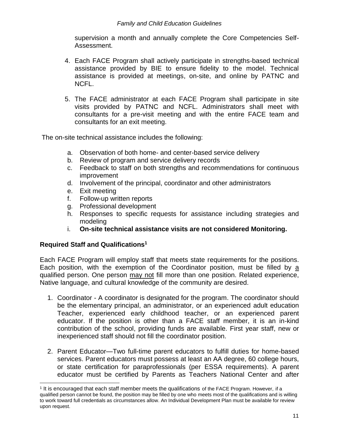supervision a month and annually complete the Core Competencies Self-Assessment.

- 4. Each FACE Program shall actively participate in strengths-based technical assistance provided by BIE to ensure fidelity to the model. Technical assistance is provided at meetings, on-site, and online by PATNC and NCFL.
- 5. The FACE administrator at each FACE Program shall participate in site visits provided by PATNC and NCFL. Administrators shall meet with consultants for a pre-visit meeting and with the entire FACE team and consultants for an exit meeting.

The on-site technical assistance includes the following:

- a. Observation of both home- and center-based service delivery
- b. Review of program and service delivery records
- c. Feedback to staff on both strengths and recommendations for continuous improvement
- d. Involvement of the principal, coordinator and other administrators
- e. Exit meeting
- f. Follow-up written reports
- g. Professional development
- h. Responses to specific requests for assistance including strategies and modeling
- i. **On-site technical assistance visits are not considered Monitoring.**

# **Required Staff and Qualifications<sup>1</sup>**

l

Each FACE Program will employ staff that meets state requirements for the positions. Each position, with the exemption of the Coordinator position, must be filled by a qualified person. One person may not fill more than one position. Related experience, Native language, and cultural knowledge of the community are desired.

- 1. Coordinator A coordinator is designated for the program. The coordinator should be the elementary principal, an administrator, or an experienced adult education Teacher, experienced early childhood teacher, or an experienced parent educator. If the position is other than a FACE staff member, it is an in-kind contribution of the school, providing funds are available. First year staff, new or inexperienced staff should not fill the coordinator position.
- 2. Parent Educator—Two full-time parent educators to fulfill duties for home-based services. Parent educators must possess at least an AA degree, 60 college hours, or state certification for paraprofessionals (per ESSA requirements). A parent educator must be certified by Parents as Teachers National Center and after

<sup>&</sup>lt;sup>1</sup> It is encouraged that each staff member meets the qualifications of the FACE Program. However, if a qualified person cannot be found, the position may be filled by one who meets most of the qualifications and is willing to work toward full credentials as circumstances allow. An Individual Development Plan must be available for review upon request.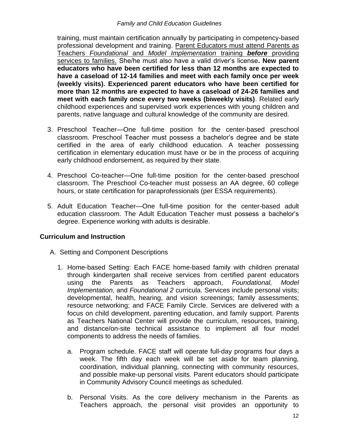training, must maintain certification annually by participating in competency-based professional development and training. Parent Educators must attend Parents as Teachers *Foundational* and *Model Implementation* training *before* providing services to families. She/he must also have a valid driver's license**. New parent educators who have been certified for less than 12 months are expected to have a caseload of 12-14 families and meet with each family once per week (weekly visits). Experienced parent educators who have been certified for more than 12 months are expected to have a caseload of 24-26 families and meet with each family once every two weeks (biweekly visits)**. Related early childhood experiences and supervised work experiences with young children and parents, native language and cultural knowledge of the community are desired.

- 3. Preschool Teacher—One full-time position for the center-based preschool classroom. Preschool Teacher must possess a bachelor's degree and be state certified in the area of early childhood education. A teacher possessing certification in elementary education must have or be in the process of acquiring early childhood endorsement, as required by their state.
- 4. Preschool Co-teacher—One full-time position for the center-based preschool classroom. The Preschool Co-teacher must possess an AA degree, 60 college hours, or state certification for paraprofessionals (per ESSA requirements).
- 5. Adult Education Teacher—One full-time position for the center-based adult education classroom. The Adult Education Teacher must possess a bachelor's degree. Experience working with adults is desirable.

# **Curriculum and Instruction**

- A. Setting and Component Descriptions
	- 1. Home-based Setting: Each FACE home-based family with children prenatal through kindergarten shall receive services from certified parent educators using the Parents as Teachers approach, *Foundational, Model Implementation,* and *Foundational 2* curricula. Services include personal visits; developmental, health, hearing, and vision screenings; family assessments; resource networking; and FACE Family Circle. Services are delivered with a focus on child development, parenting education, and family support. Parents as Teachers National Center will provide the curriculum, resources, training, and distance/on-site technical assistance to implement all four model components to address the needs of families.
		- a. Program schedule. FACE staff will operate full-day programs four days a week. The fifth day each week will be set aside for team planning, coordination, individual planning, connecting with community resources, and possible make-up personal visits. Parent educators should participate in Community Advisory Council meetings as scheduled.
		- b. Personal Visits. As the core delivery mechanism in the Parents as Teachers approach, the personal visit provides an opportunity to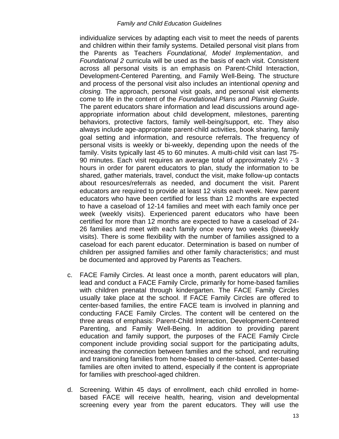individualize services by adapting each visit to meet the needs of parents and children within their family systems. Detailed personal visit plans from the Parents as Teachers *Foundational, Model Implementation*, and *Foundational 2* curricula will be used as the basis of each visit. Consistent across all personal visits is an emphasis on Parent-Child Interaction, Development-Centered Parenting, and Family Well-Being. The structure and process of the personal visit also includes an intentional *opening* and *closing.* The approach, personal visit goals, and personal visit elements come to life in the content of the *Foundational Plans* and *Planning Guide*. The parent educators share information and lead discussions around ageappropriate information about child development, milestones, parenting behaviors, protective factors, family well-being/support, etc. They also always include age-appropriate parent-child activities, book sharing, family goal setting and information, and resource referrals. The frequency of personal visits is weekly or bi-weekly, depending upon the needs of the family. Visits typically last 45 to 60 minutes. A multi-child visit can last 75- 90 minutes. Each visit requires an average total of approximately 2½ - 3 hours in order for parent educators to plan, study the information to be shared, gather materials, travel, conduct the visit, make follow-up contacts about resources/referrals as needed, and document the visit. Parent educators are required to provide at least 12 visits each week. New parent educators who have been certified for less than 12 months are expected to have a caseload of 12-14 families and meet with each family once per week (weekly visits). Experienced parent educators who have been certified for more than 12 months are expected to have a caseload of 24- 26 families and meet with each family once every two weeks (biweekly visits). There is some flexibility with the number of families assigned to a caseload for each parent educator. Determination is based on number of children per assigned families and other family characteristics; and must be documented and approved by Parents as Teachers.

- c. FACE Family Circles. At least once a month, parent educators will plan, lead and conduct a FACE Family Circle, primarily for home-based families with children prenatal through kindergarten. The FACE Family Circles usually take place at the school. If FACE Family Circles are offered to center-based families, the entire FACE team is involved in planning and conducting FACE Family Circles. The content will be centered on the three areas of emphasis: Parent-Child Interaction, Development-Centered Parenting, and Family Well-Being. In addition to providing parent education and family support, the purposes of the FACE Family Circle component include providing social support for the participating adults, increasing the connection between families and the school, and recruiting and transitioning families from home-based to center-based. Center-based families are often invited to attend, especially if the content is appropriate for families with preschool-aged children.
- d. Screening. Within 45 days of enrollment, each child enrolled in homebased FACE will receive health, hearing, vision and developmental screening every year from the parent educators. They will use the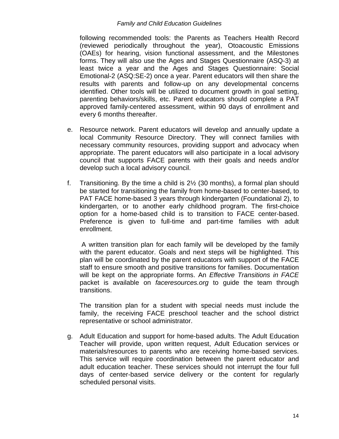following recommended tools: the Parents as Teachers Health Record (reviewed periodically throughout the year), Otoacoustic Emissions (OAEs) for hearing, vision functional assessment, and the Milestones forms. They will also use the Ages and Stages Questionnaire (ASQ-3) at least twice a year and the Ages and Stages Questionnaire: Social Emotional-2 (ASQ:SE-2) once a year. Parent educators will then share the results with parents and follow-up on any developmental concerns identified. Other tools will be utilized to document growth in goal setting, parenting behaviors/skills, etc. Parent educators should complete a PAT approved family-centered assessment, within 90 days of enrollment and every 6 months thereafter.

- e. Resource network. Parent educators will develop and annually update a local Community Resource Directory. They will connect families with necessary community resources, providing support and advocacy when appropriate. The parent educators will also participate in a local advisory council that supports FACE parents with their goals and needs and/or develop such a local advisory council.
- f. Transitioning. By the time a child is 2½ (30 months), a formal plan should be started for transitioning the family from home-based to center-based, to PAT FACE home-based 3 years through kindergarten (Foundational 2), to kindergarten, or to another early childhood program. The first-choice option for a home-based child is to transition to FACE center-based. Preference is given to full-time and part-time families with adult enrollment.

A written transition plan for each family will be developed by the family with the parent educator. Goals and next steps will be highlighted. This plan will be coordinated by the parent educators with support of the FACE staff to ensure smooth and positive transitions for families. Documentation will be kept on the appropriate forms. An *Effective Transitions in FACE* packet is available on *faceresources.org* to guide the team through transitions.

The transition plan for a student with special needs must include the family, the receiving FACE preschool teacher and the school district representative or school administrator.

g. Adult Education and support for home-based adults. The Adult Education Teacher will provide, upon written request, Adult Education services or materials/resources to parents who are receiving home-based services. This service will require coordination between the parent educator and adult education teacher. These services should not interrupt the four full days of center-based service delivery or the content for regularly scheduled personal visits.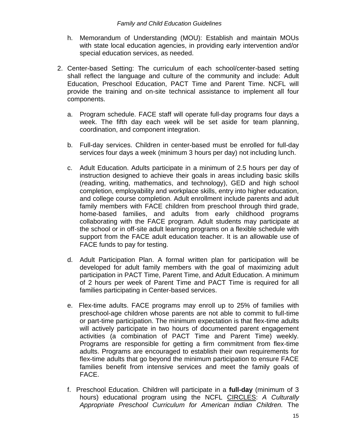- h. Memorandum of Understanding (MOU): Establish and maintain MOUs with state local education agencies, in providing early intervention and/or special education services, as needed.
- 2. Center-based Setting: The curriculum of each school/center-based setting shall reflect the language and culture of the community and include: Adult Education, Preschool Education, PACT Time and Parent Time. NCFL will provide the training and on-site technical assistance to implement all four components.
	- a. Program schedule. FACE staff will operate full-day programs four days a week. The fifth day each week will be set aside for team planning, coordination, and component integration.
	- b. Full-day services. Children in center-based must be enrolled for full-day services four days a week (minimum 3 hours per day) not including lunch.
	- c. Adult Education. Adults participate in a minimum of 2.5 hours per day of instruction designed to achieve their goals in areas including basic skills (reading, writing, mathematics, and technology), GED and high school completion, employability and workplace skills, entry into higher education, and college course completion. Adult enrollment include parents and adult family members with FACE children from preschool through third grade, home-based families, and adults from early childhood programs collaborating with the FACE program. Adult students may participate at the school or in off-site adult learning programs on a flexible schedule with support from the FACE adult education teacher. It is an allowable use of FACE funds to pay for testing.
	- d. Adult Participation Plan. A formal written plan for participation will be developed for adult family members with the goal of maximizing adult participation in PACT Time, Parent Time, and Adult Education. A minimum of 2 hours per week of Parent Time and PACT Time is required for all families participating in Center-based services.
	- e. Flex-time adults. FACE programs may enroll up to 25% of families with preschool-age children whose parents are not able to commit to full-time or part-time participation. The minimum expectation is that flex-time adults will actively participate in two hours of documented parent engagement activities (a combination of PACT Time and Parent Time) weekly. Programs are responsible for getting a firm commitment from flex-time adults. Programs are encouraged to establish their own requirements for flex-time adults that go beyond the minimum participation to ensure FACE families benefit from intensive services and meet the family goals of FACE.
	- f. Preschool Education. Children will participate in a **full-day** (minimum of 3 hours) educational program using the NCFL CIRCLES: *A Culturally Appropriate Preschool Curriculum for American Indian Children.* The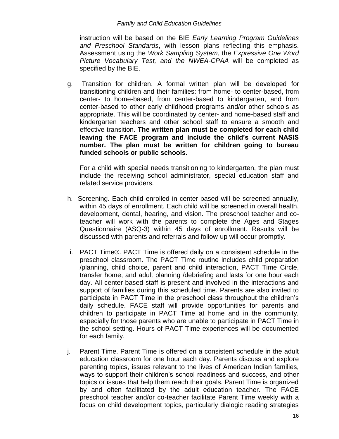instruction will be based on the BIE *Early Learning Program Guidelines and Preschool Standards*, with lesson plans reflecting this emphasis. Assessment using the *Work Sampling System*, the *Expressive One Word Picture Vocabulary Test, and the NWEA-CPAA* will be completed as specified by the BIE.

g. Transition for children. A formal written plan will be developed for transitioning children and their families: from home- to center-based, from center- to home-based, from center-based to kindergarten, and from center-based to other early childhood programs and/or other schools as appropriate. This will be coordinated by center- and home-based staff and kindergarten teachers and other school staff to ensure a smooth and effective transition. **The written plan must be completed for each child leaving the FACE program and include the child's current NASIS number. The plan must be written for children going to bureau funded schools or public schools.**

For a child with special needs transitioning to kindergarten, the plan must include the receiving school administrator, special education staff and related service providers.

- h. Screening. Each child enrolled in center-based will be screened annually, within 45 days of enrollment. Each child will be screened in overall health, development, dental, hearing, and vision. The preschool teacher and coteacher will work with the parents to complete the Ages and Stages Questionnaire (ASQ-3) within 45 days of enrollment. Results will be discussed with parents and referrals and follow-up will occur promptly.
- i. PACT Time®. PACT Time is offered daily on a consistent schedule in the preschool classroom. The PACT Time routine includes child preparation /planning, child choice, parent and child interaction, PACT Time Circle, transfer home, and adult planning /debriefing and lasts for one hour each day. All center-based staff is present and involved in the interactions and support of families during this scheduled time. Parents are also invited to participate in PACT Time in the preschool class throughout the children's daily schedule. FACE staff will provide opportunities for parents and children to participate in PACT Time at home and in the community, especially for those parents who are unable to participate in PACT Time in the school setting. Hours of PACT Time experiences will be documented for each family.
- j. Parent Time. Parent Time is offered on a consistent schedule in the adult education classroom for one hour each day. Parents discuss and explore parenting topics, issues relevant to the lives of American Indian families, ways to support their children's school readiness and success, and other topics or issues that help them reach their goals. Parent Time is organized by and often facilitated by the adult education teacher. The FACE preschool teacher and/or co-teacher facilitate Parent Time weekly with a focus on child development topics, particularly dialogic reading strategies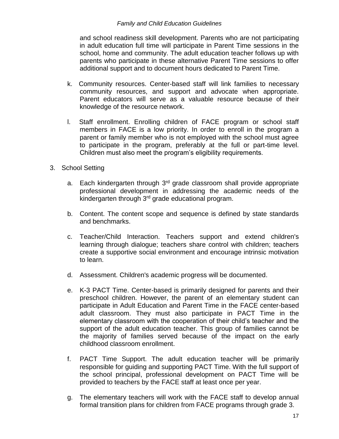and school readiness skill development. Parents who are not participating in adult education full time will participate in Parent Time sessions in the school, home and community. The adult education teacher follows up with parents who participate in these alternative Parent Time sessions to offer additional support and to document hours dedicated to Parent Time.

- k. Community resources. Center-based staff will link families to necessary community resources, and support and advocate when appropriate. Parent educators will serve as a valuable resource because of their knowledge of the resource network.
- l. Staff enrollment. Enrolling children of FACE program or school staff members in FACE is a low priority. In order to enroll in the program a parent or family member who is not employed with the school must agree to participate in the program, preferably at the full or part-time level. Children must also meet the program's eligibility requirements.
- 3. School Setting
	- a. Each kindergarten through 3<sup>rd</sup> grade classroom shall provide appropriate professional development in addressing the academic needs of the kindergarten through 3rd grade educational program.
	- b. Content. The content scope and sequence is defined by state standards and benchmarks.
	- c. Teacher/Child Interaction. Teachers support and extend children's learning through dialogue; teachers share control with children; teachers create a supportive social environment and encourage intrinsic motivation to learn.
	- d. Assessment. Children's academic progress will be documented.
	- e. K-3 PACT Time. Center-based is primarily designed for parents and their preschool children. However, the parent of an elementary student can participate in Adult Education and Parent Time in the FACE center-based adult classroom. They must also participate in PACT Time in the elementary classroom with the cooperation of their child's teacher and the support of the adult education teacher. This group of families cannot be the majority of families served because of the impact on the early childhood classroom enrollment.
	- f. PACT Time Support. The adult education teacher will be primarily responsible for guiding and supporting PACT Time. With the full support of the school principal, professional development on PACT Time will be provided to teachers by the FACE staff at least once per year.
	- g. The elementary teachers will work with the FACE staff to develop annual formal transition plans for children from FACE programs through grade 3.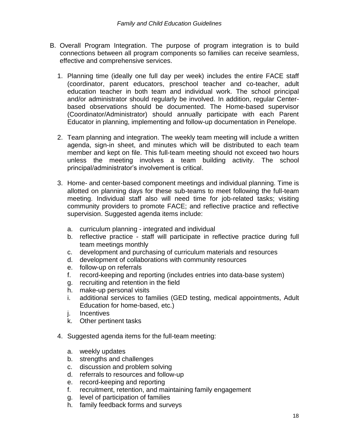- B. Overall Program Integration. The purpose of program integration is to build connections between all program components so families can receive seamless, effective and comprehensive services.
	- 1. Planning time (ideally one full day per week) includes the entire FACE staff (coordinator, parent educators, preschool teacher and co-teacher, adult education teacher in both team and individual work. The school principal and/or administrator should regularly be involved. In addition, regular Centerbased observations should be documented. The Home-based supervisor (Coordinator/Administrator) should annually participate with each Parent Educator in planning, implementing and follow-up documentation in Penelope.
	- 2. Team planning and integration. The weekly team meeting will include a written agenda, sign-in sheet, and minutes which will be distributed to each team member and kept on file. This full-team meeting should not exceed two hours unless the meeting involves a team building activity. The school principal/administrator's involvement is critical.
	- 3. Home- and center-based component meetings and individual planning. Time is allotted on planning days for these sub-teams to meet following the full-team meeting. Individual staff also will need time for job-related tasks; visiting community providers to promote FACE; and reflective practice and reflective supervision. Suggested agenda items include:
		- a. curriculum planning integrated and individual
		- b. reflective practice staff will participate in reflective practice during full team meetings monthly
		- c. development and purchasing of curriculum materials and resources
		- d. development of collaborations with community resources
		- e. follow-up on referrals
		- f. record-keeping and reporting (includes entries into data-base system)
		- g. recruiting and retention in the field
		- h. make-up personal visits
		- i. additional services to families (GED testing, medical appointments, Adult Education for home-based, etc.)
		- j. Incentives
		- k. Other pertinent tasks
	- 4. Suggested agenda items for the full-team meeting:
		- a. weekly updates
		- b. strengths and challenges
		- c. discussion and problem solving
		- d. referrals to resources and follow-up
		- e. record-keeping and reporting
		- f. recruitment, retention, and maintaining family engagement
		- g. level of participation of families
		- h. family feedback forms and surveys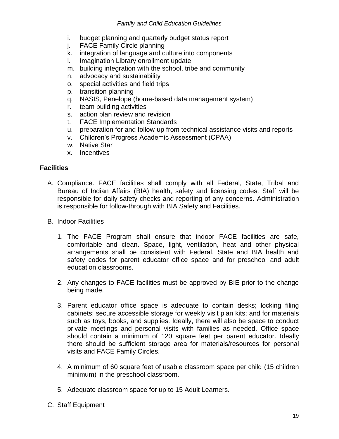- i. budget planning and quarterly budget status report
- j. FACE Family Circle planning
- k. integration of language and culture into components
- l. Imagination Library enrollment update
- m. building integration with the school, tribe and community
- n. advocacy and sustainability
- o. special activities and field trips
- p. transition planning
- q. NASIS, Penelope (home-based data management system)
- r. team building activities
- s. action plan review and revision
- t. FACE Implementation Standards
- u. preparation for and follow-up from technical assistance visits and reports
- v. Children's Progress Academic Assessment (CPAA)
- w. Native Star
- x. Incentives

## **Facilities**

- A. Compliance. FACE facilities shall comply with all Federal, State, Tribal and Bureau of Indian Affairs (BIA) health, safety and licensing codes. Staff will be responsible for daily safety checks and reporting of any concerns. Administration is responsible for follow-through with BIA Safety and Facilities.
- B. Indoor Facilities
	- 1. The FACE Program shall ensure that indoor FACE facilities are safe, comfortable and clean. Space, light, ventilation, heat and other physical arrangements shall be consistent with Federal, State and BIA health and safety codes for parent educator office space and for preschool and adult education classrooms.
	- 2. Any changes to FACE facilities must be approved by BIE prior to the change being made.
	- 3. Parent educator office space is adequate to contain desks; locking filing cabinets; secure accessible storage for weekly visit plan kits; and for materials such as toys, books, and supplies. Ideally, there will also be space to conduct private meetings and personal visits with families as needed. Office space should contain a minimum of 120 square feet per parent educator. Ideally there should be sufficient storage area for materials/resources for personal visits and FACE Family Circles.
	- 4. A minimum of 60 square feet of usable classroom space per child (15 children minimum) in the preschool classroom.
	- 5. Adequate classroom space for up to 15 Adult Learners.
- C. Staff Equipment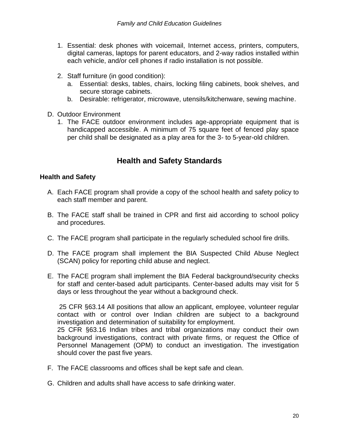- 1. Essential: desk phones with voicemail, Internet access, printers, computers, digital cameras, laptops for parent educators, and 2-way radios installed within each vehicle, and/or cell phones if radio installation is not possible.
- 2. Staff furniture (in good condition):
	- a. Essential: desks, tables, chairs, locking filing cabinets, book shelves, and secure storage cabinets.
	- b. Desirable: refrigerator, microwave, utensils/kitchenware, sewing machine.
- D. Outdoor Environment
	- 1. The FACE outdoor environment includes age-appropriate equipment that is handicapped accessible. A minimum of 75 square feet of fenced play space per child shall be designated as a play area for the 3- to 5-year-old children.

# **Health and Safety Standards**

#### **Health and Safety**

- A. Each FACE program shall provide a copy of the school health and safety policy to each staff member and parent.
- B. The FACE staff shall be trained in CPR and first aid according to school policy and procedures.
- C. The FACE program shall participate in the regularly scheduled school fire drills.
- D. The FACE program shall implement the BIA Suspected Child Abuse Neglect (SCAN) policy for reporting child abuse and neglect.
- E. The FACE program shall implement the BIA Federal background/security checks for staff and center-based adult participants. Center-based adults may visit for 5 days or less throughout the year without a background check.

25 CFR §63.14 All positions that allow an applicant, employee, volunteer regular contact with or control over Indian children are subject to a background investigation and determination of suitability for employment.

25 CFR §63.16 Indian tribes and tribal organizations may conduct their own background investigations, contract with private firms, or request the Office of Personnel Management (OPM) to conduct an investigation. The investigation should cover the past five years.

- F. The FACE classrooms and offices shall be kept safe and clean.
- G. Children and adults shall have access to safe drinking water.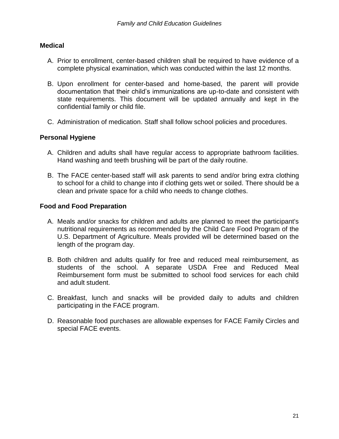## **Medical**

- A. Prior to enrollment, center-based children shall be required to have evidence of a complete physical examination, which was conducted within the last 12 months.
- B. Upon enrollment for center-based and home-based, the parent will provide documentation that their child's immunizations are up-to-date and consistent with state requirements. This document will be updated annually and kept in the confidential family or child file.
- C. Administration of medication. Staff shall follow school policies and procedures.

#### **Personal Hygiene**

- A. Children and adults shall have regular access to appropriate bathroom facilities. Hand washing and teeth brushing will be part of the daily routine.
- B. The FACE center-based staff will ask parents to send and/or bring extra clothing to school for a child to change into if clothing gets wet or soiled. There should be a clean and private space for a child who needs to change clothes.

#### **Food and Food Preparation**

- A. Meals and/or snacks for children and adults are planned to meet the participant's nutritional requirements as recommended by the Child Care Food Program of the U.S. Department of Agriculture. Meals provided will be determined based on the length of the program day.
- B. Both children and adults qualify for free and reduced meal reimbursement, as students of the school. A separate USDA Free and Reduced Meal Reimbursement form must be submitted to school food services for each child and adult student.
- C. Breakfast, lunch and snacks will be provided daily to adults and children participating in the FACE program.
- D. Reasonable food purchases are allowable expenses for FACE Family Circles and special FACE events.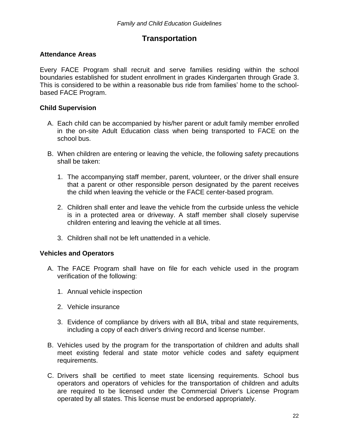# **Transportation**

## **Attendance Areas**

Every FACE Program shall recruit and serve families residing within the school boundaries established for student enrollment in grades Kindergarten through Grade 3. This is considered to be within a reasonable bus ride from families' home to the schoolbased FACE Program.

## **Child Supervision**

- A. Each child can be accompanied by his/her parent or adult family member enrolled in the on-site Adult Education class when being transported to FACE on the school bus.
- B. When children are entering or leaving the vehicle, the following safety precautions shall be taken:
	- 1. The accompanying staff member, parent, volunteer, or the driver shall ensure that a parent or other responsible person designated by the parent receives the child when leaving the vehicle or the FACE center-based program.
	- 2. Children shall enter and leave the vehicle from the curbside unless the vehicle is in a protected area or driveway. A staff member shall closely supervise children entering and leaving the vehicle at all times.
	- 3. Children shall not be left unattended in a vehicle.

# **Vehicles and Operators**

- A. The FACE Program shall have on file for each vehicle used in the program verification of the following:
	- 1. Annual vehicle inspection
	- 2. Vehicle insurance
	- 3. Evidence of compliance by drivers with all BIA, tribal and state requirements, including a copy of each driver's driving record and license number.
- B. Vehicles used by the program for the transportation of children and adults shall meet existing federal and state motor vehicle codes and safety equipment requirements.
- C. Drivers shall be certified to meet state licensing requirements. School bus operators and operators of vehicles for the transportation of children and adults are required to be licensed under the Commercial Driver's License Program operated by all states. This license must be endorsed appropriately.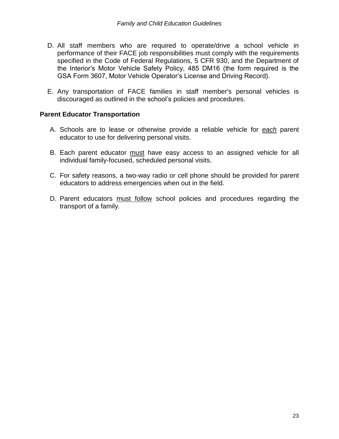- D. All staff members who are required to operate/drive a school vehicle in performance of their FACE job responsibilities must comply with the requirements specified in the Code of Federal Regulations, 5 CFR 930, and the Department of the Interior's Motor Vehicle Safety Policy, 485 DM16 (the form required is the GSA Form 3607, Motor Vehicle Operator's License and Driving Record).
- E. Any transportation of FACE families in staff member's personal vehicles is discouraged as outlined in the school's policies and procedures.

#### **Parent Educator Transportation**

- A. Schools are to lease or otherwise provide a reliable vehicle for *each* parent educator to use for delivering personal visits.
- B. Each parent educator must have easy access to an assigned vehicle for all individual family-focused, scheduled personal visits.
- C. For safety reasons, a two-way radio or cell phone should be provided for parent educators to address emergencies when out in the field.
- D. Parent educators must follow school policies and procedures regarding the transport of a family.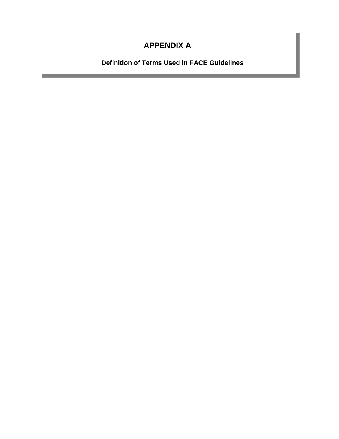# **APPENDIX A**

**Definition of Terms Used in FACE Guidelines**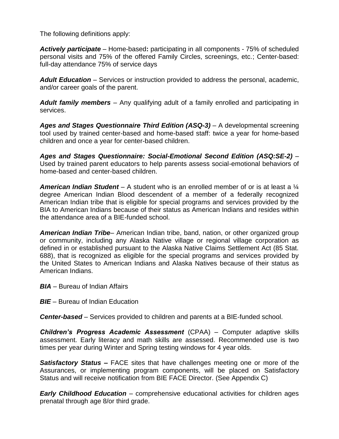The following definitions apply:

*Actively participate* – Home-based**:** participating in all components - 75% of scheduled personal visits and 75% of the offered Family Circles, screenings, etc.; Center-based: full-day attendance 75% of service days

*Adult Education* – Services or instruction provided to address the personal, academic, and/or career goals of the parent.

*Adult family members* – Any qualifying adult of a family enrolled and participating in services.

*Ages and Stages Questionnaire Third Edition (ASQ-3) –* A developmental screening tool used by trained center-based and home-based staff: twice a year for home-based children and once a year for center-based children.

*Ages and Stages Questionnaire: Social-Emotional Second Edition (ASQ:SE-2)* – Used by trained parent educators to help parents assess social-emotional behaviors of home-based and center-based children.

*American Indian Student* – A student who is an enrolled member of or is at least a ¼ degree American Indian Blood descendent of a member of a federally recognized American Indian tribe that is eligible for special programs and services provided by the BIA to American Indians because of their status as American Indians and resides within the attendance area of a BIE-funded school.

*American Indian Tribe*– American Indian tribe, band, nation, or other organized group or community, including any Alaska Native village or regional village corporation as defined in or established pursuant to the Alaska Native Claims Settlement Act (85 Stat. 688), that is recognized as eligible for the special programs and services provided by the United States to American Indians and Alaska Natives because of their status as American Indians.

*BIA* – Bureau of Indian Affairs

*BIE* – Bureau of Indian Education

*Center-based* – Services provided to children and parents at a BIE-funded school.

*Children's Progress Academic Assessment* (CPAA) – Computer adaptive skills assessment. Early literacy and math skills are assessed. Recommended use is two times per year during Winter and Spring testing windows for 4 year olds.

*Satisfactory Status –* FACE sites that have challenges meeting one or more of the Assurances, or implementing program components, will be placed on Satisfactory Status and will receive notification from BIE FACE Director. (See Appendix C)

*Early Childhood Education* – comprehensive educational activities for children ages prenatal through age 8/or third grade.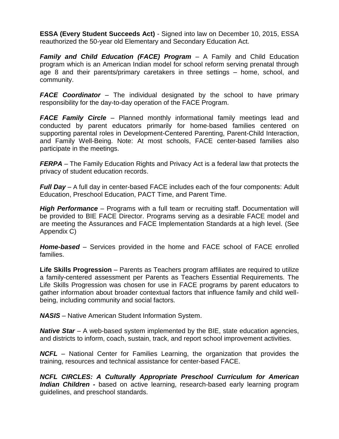**ESSA (Every Student Succeeds Act)** - Signed into law on December 10, 2015, ESSA reauthorized the 50-year old Elementary and Secondary Education Act.

*Family and Child Education (FACE) Program* – A Family and Child Education program which is an American Indian model for school reform serving prenatal through age 8 and their parents/primary caretakers in three settings – home, school, and community.

*FACE Coordinator* – The individual designated by the school to have primary responsibility for the day-to-day operation of the FACE Program.

*FACE Family Circle* – Planned monthly informational family meetings lead and conducted by parent educators primarily for home-based families centered on supporting parental roles in Development-Centered Parenting, Parent-Child Interaction, and Family Well-Being. Note: At most schools, FACE center-based families also participate in the meetings.

*FERPA* – The Family Education Rights and Privacy Act is a federal law that protects the privacy of student education records.

*Full Day* – A full day in center-based FACE includes each of the four components: Adult Education, Preschool Education, PACT Time, and Parent Time.

*High Performance* – Programs with a full team or recruiting staff. Documentation will be provided to BIE FACE Director. Programs serving as a desirable FACE model and are meeting the Assurances and FACE Implementation Standards at a high level. (See Appendix C)

*Home-based* – Services provided in the home and FACE school of FACE enrolled families.

**Life Skills Progression** – Parents as Teachers program affiliates are required to utilize a family-centered assessment per Parents as Teachers Essential Requirements. The Life Skills Progression was chosen for use in FACE programs by parent educators to gather information about broader contextual factors that influence family and child wellbeing, including community and social factors.

*NASIS* – Native American Student Information System.

*Native Star – A web-based system implemented by the BIE, state education agencies,* and districts to inform, coach, sustain, track, and report school improvement activities.

*NCFL* – National Center for Families Learning, the organization that provides the training, resources and technical assistance for center-based FACE.

*NCFL CIRCLES: A Culturally Appropriate Preschool Curriculum for American Indian Children -* based on active learning, research-based early learning program guidelines, and preschool standards.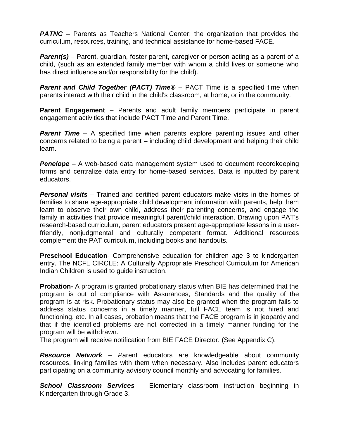**PATNC** – Parents as Teachers National Center; the organization that provides the curriculum, resources, training, and technical assistance for home-based FACE.

*Parent(s)* – Parent, guardian, foster parent, caregiver or person acting as a parent of a child, (such as an extended family member with whom a child lives or someone who has direct influence and/or responsibility for the child).

**Parent and Child Together (PACT) Time<sup>®</sup>** – PACT Time is a specified time when parents interact with their child in the child's classroom, at home, or in the community.

**Parent Engagement** – Parents and adult family members participate in parent engagement activities that include PACT Time and Parent Time.

**Parent Time** – A specified time when parents explore parenting issues and other concerns related to being a parent – including child development and helping their child learn.

*Penelope* – A web-based data management system used to document recordkeeping forms and centralize data entry for home-based services. Data is inputted by parent educators.

*Personal visits* – Trained and certified parent educators make visits in the homes of families to share age-appropriate child development information with parents, help them learn to observe their own child, address their parenting concerns, and engage the family in activities that provide meaningful parent/child interaction. Drawing upon PAT's research-based curriculum, parent educators present age-appropriate lessons in a userfriendly, nonjudgmental and culturally competent format. Additional resources complement the PAT curriculum, including books and handouts.

**Preschool Education**- Comprehensive education for children age 3 to kindergarten entry. The NCFL CIRCLE: A Culturally Appropriate Preschool Curriculum for American Indian Children is used to guide instruction.

**Probation-** A program is granted probationary status when BIE has determined that the program is out of compliance with Assurances, Standards and the quality of the program is at risk. Probationary status may also be granted when the program fails to address status concerns in a timely manner, full FACE team is not hired and functioning, etc. In all cases, probation means that the FACE program is in jeopardy and that if the identified problems are not corrected in a timely manner funding for the program will be withdrawn.

The program will receive notification from BIE FACE Director. (See Appendix C).

*Resource Network* – *P*arent educators are knowledgeable about community resources, linking families with them when necessary. Also includes parent educators participating on a community advisory council monthly and advocating for families.

*School Classroom Services –* Elementary classroom instruction beginning in Kindergarten through Grade 3.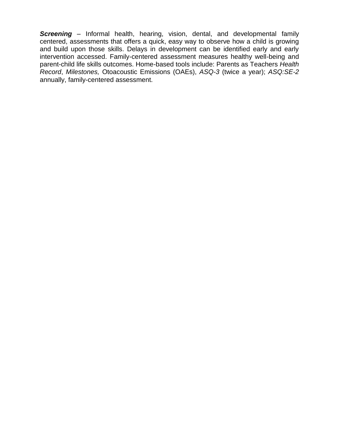*Screening –* Informal health, hearing, vision, dental, and developmental family centered, assessments that offers a quick, easy way to observe how a child is growing and build upon those skills. Delays in development can be identified early and early intervention accessed. Family-centered assessment measures healthy well-being and parent-child life skills outcomes. Home-based tools include: Parents as Teachers *Health Record*, *Milestones,* Otoacoustic Emissions (OAEs), *ASQ-3* (twice a year); *ASQ:SE-2* annually, family-centered assessment.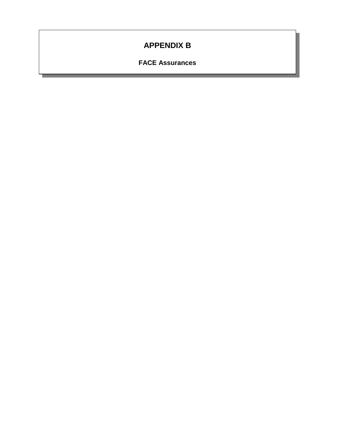# **APPENDIX B**

**FACE Assurances**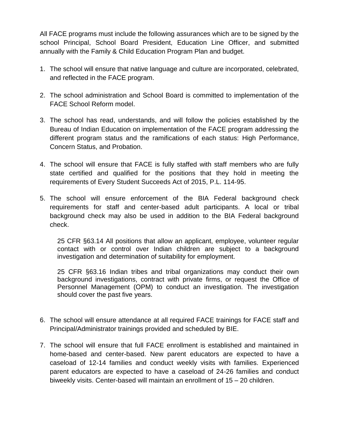All FACE programs must include the following assurances which are to be signed by the school Principal, School Board President, Education Line Officer, and submitted annually with the Family & Child Education Program Plan and budget.

- 1. The school will ensure that native language and culture are incorporated, celebrated, and reflected in the FACE program.
- 2. The school administration and School Board is committed to implementation of the FACE School Reform model.
- 3. The school has read, understands, and will follow the policies established by the Bureau of Indian Education on implementation of the FACE program addressing the different program status and the ramifications of each status: High Performance, Concern Status, and Probation.
- 4. The school will ensure that FACE is fully staffed with staff members who are fully state certified and qualified for the positions that they hold in meeting the requirements of Every Student Succeeds Act of 2015, P.L. 114-95.
- 5. The school will ensure enforcement of the BIA Federal background check requirements for staff and center-based adult participants. A local or tribal background check may also be used in addition to the BIA Federal background check.

25 CFR §63.14 All positions that allow an applicant, employee, volunteer regular contact with or control over Indian children are subject to a background investigation and determination of suitability for employment.

25 CFR §63.16 Indian tribes and tribal organizations may conduct their own background investigations, contract with private firms, or request the Office of Personnel Management (OPM) to conduct an investigation. The investigation should cover the past five years.

- 6. The school will ensure attendance at all required FACE trainings for FACE staff and Principal/Administrator trainings provided and scheduled by BIE.
- 7. The school will ensure that full FACE enrollment is established and maintained in home-based and center-based. New parent educators are expected to have a caseload of 12-14 families and conduct weekly visits with families. Experienced parent educators are expected to have a caseload of 24-26 families and conduct biweekly visits. Center-based will maintain an enrollment of 15 – 20 children.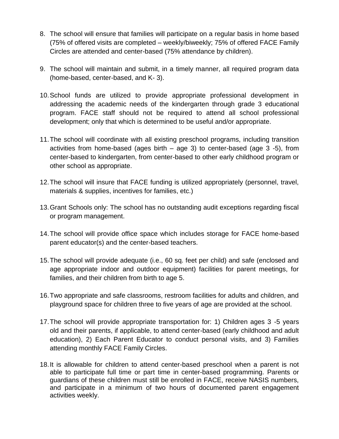- 8. The school will ensure that families will participate on a regular basis in home based (75% of offered visits are completed – weekly/biweekly; 75% of offered FACE Family Circles are attended and center-based (75% attendance by children).
- 9. The school will maintain and submit, in a timely manner, all required program data (home-based, center-based, and K- 3).
- 10.School funds are utilized to provide appropriate professional development in addressing the academic needs of the kindergarten through grade 3 educational program. FACE staff should not be required to attend all school professional development; only that which is determined to be useful and/or appropriate.
- 11.The school will coordinate with all existing preschool programs, including transition activities from home-based (ages birth – age 3) to center-based (age 3 -5), from center-based to kindergarten, from center-based to other early childhood program or other school as appropriate.
- 12.The school will insure that FACE funding is utilized appropriately (personnel, travel, materials & supplies, incentives for families, etc.)
- 13.Grant Schools only: The school has no outstanding audit exceptions regarding fiscal or program management.
- 14.The school will provide office space which includes storage for FACE home-based parent educator(s) and the center-based teachers.
- 15.The school will provide adequate (i.e., 60 sq. feet per child) and safe (enclosed and age appropriate indoor and outdoor equipment) facilities for parent meetings, for families, and their children from birth to age 5.
- 16.Two appropriate and safe classrooms, restroom facilities for adults and children, and playground space for children three to five years of age are provided at the school.
- 17.The school will provide appropriate transportation for: 1) Children ages 3 -5 years old and their parents, if applicable, to attend center-based (early childhood and adult education), 2) Each Parent Educator to conduct personal visits, and 3) Families attending monthly FACE Family Circles.
- 18.It is allowable for children to attend center-based preschool when a parent is not able to participate full time or part time in center-based programming. Parents or guardians of these children must still be enrolled in FACE, receive NASIS numbers, and participate in a minimum of two hours of documented parent engagement activities weekly.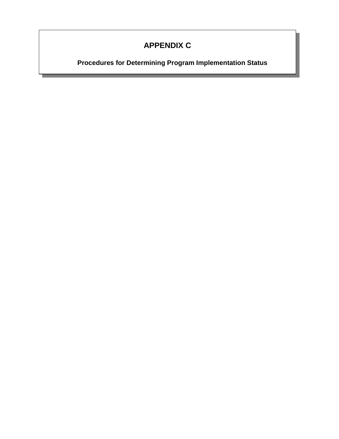# **APPENDIX C**

**Procedures for Determining Program Implementation Status**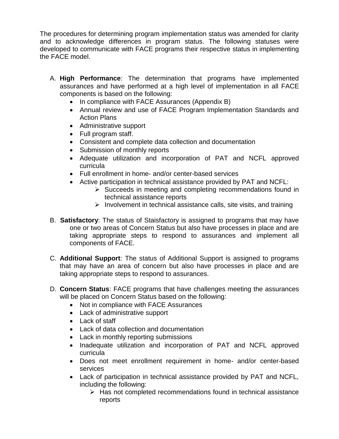The procedures for determining program implementation status was amended for clarity and to acknowledge differences in program status. The following statuses were developed to communicate with FACE programs their respective status in implementing the FACE model.

- A. **High Performance**: The determination that programs have implemented assurances and have performed at a high level of implementation in all FACE components is based on the following:
	- In compliance with FACE Assurances (Appendix B)
	- Annual review and use of FACE Program Implementation Standards and Action Plans
	- Administrative support
	- Full program staff.
	- Consistent and complete data collection and documentation
	- Submission of monthly reports
	- Adequate utilization and incorporation of PAT and NCFL approved curricula
	- Full enrollment in home- and/or center-based services
	- Active participation in technical assistance provided by PAT and NCFL:
		- $\triangleright$  Succeeds in meeting and completing recommendations found in technical assistance reports
		- $\triangleright$  Involvement in technical assistance calls, site visits, and training
- B. **Satisfactory**: The status of Staisfactory is assigned to programs that may have one or two areas of Concern Status but also have processes in place and are taking appropriate steps to respond to assurances and implement all components of FACE.
- C. **Additional Support**: The status of Additional Support is assigned to programs that may have an area of concern but also have processes in place and are taking appropriate steps to respond to assurances.
- D. **Concern Status**: FACE programs that have challenges meeting the assurances will be placed on Concern Status based on the following:
	- Not in compliance with FACE Assurances
	- Lack of administrative support
	- Lack of staff
	- Lack of data collection and documentation
	- Lack in monthly reporting submissions
	- Inadequate utilization and incorporation of PAT and NCFL approved curricula
	- Does not meet enrollment requirement in home- and/or center-based services
	- Lack of participation in technical assistance provided by PAT and NCFL, including the following:
		- $\triangleright$  Has not completed recommendations found in technical assistance reports